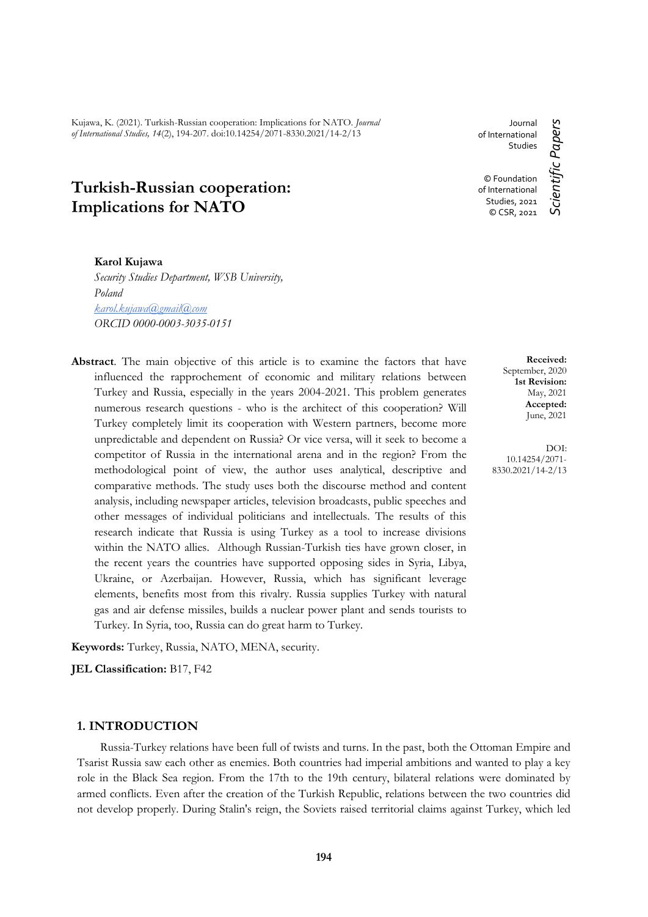Kujawa, K. (2021). Turkish-Russian cooperation: Implications for NATO. *Journal of International Studies, 14*(2), 194-207. doi:10.14254/2071-8330.2021/14-2/13

# **Turkish-Russian cooperation: Implications for NATO**

Journal of International **Studies** © Foundation of International

Scientific Papers *Scientific Papers* Studies, 2021 © CSR, 2021

> **Received:** September, 2020 **1st Revision:** May, 2021 **Accepted:** June, 2021

DOI: 10.14254/2071- 8330.2021/14-2/13

**Karol Kujawa**

*Security Studies Department, WSB University, Poland karol.kujawa@[gmail@com](mailto:mail@mail.com) ORCID 0000-0003-3035-0151*

**Abstract**. The main objective of this article is to examine the factors that have influenced the rapprochement of economic and military relations between Turkey and Russia, especially in the years 2004-2021. This problem generates numerous research questions - who is the architect of this cooperation? Will Turkey completely limit its cooperation with Western partners, become more unpredictable and dependent on Russia? Or vice versa, will it seek to become a competitor of Russia in the international arena and in the region? From the methodological point of view, the author uses analytical, descriptive and comparative methods. The study uses both the discourse method and content analysis, including newspaper articles, television broadcasts, public speeches and other messages of individual politicians and intellectuals. The results of this research indicate that Russia is using Turkey as a tool to increase divisions within the NATO allies. Although Russian-Turkish ties have grown closer, in the recent years the countries have supported opposing sides in Syria, Libya, Ukraine, or Azerbaijan. However, Russia, which has significant leverage elements, benefits most from this rivalry. Russia supplies Turkey with natural gas and air defense missiles, builds a nuclear power plant and sends tourists to Turkey. In Syria, too, Russia can do great harm to Turkey.

**Keywords:** Turkey, Russia, NATO, MENA, security.

**JEL Classification:** B17, F42

# **1. INTRODUCTION**

Russia-Turkey relations have been full of twists and turns. In the past, both the Ottoman Empire and Tsarist Russia saw each other as enemies. Both countries had imperial ambitions and wanted to play a key role in the Black Sea region. From the 17th to the 19th century, bilateral relations were dominated by armed conflicts. Even after the creation of the Turkish Republic, relations between the two countries did not develop properly. During Stalin's reign, the Soviets raised territorial claims against Turkey, which led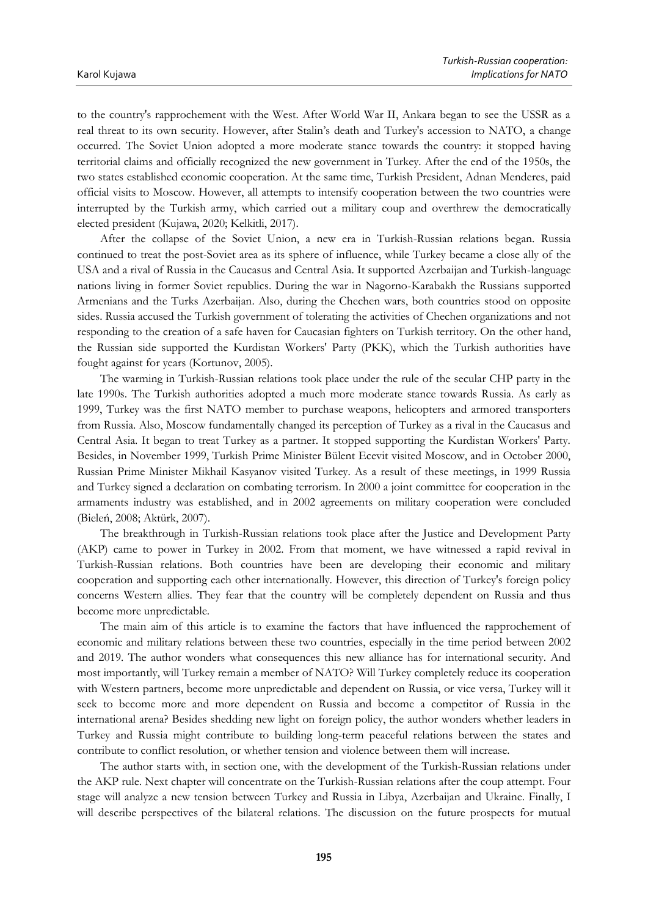to the country's rapprochement with the West. After World War II, Ankara began to see the USSR as a real threat to its own security. However, after Stalin's death and Turkey's accession to NATO, a change occurred. The Soviet Union adopted a more moderate stance towards the country: it stopped having territorial claims and officially recognized the new government in Turkey. After the end of the 1950s, the two states established economic cooperation. At the same time, Turkish President, Adnan Menderes, paid official visits to Moscow. However, all attempts to intensify cooperation between the two countries were interrupted by the Turkish army, which carried out a military coup and overthrew the democratically elected president (Kujawa, 2020; Kelkitli, 2017).

After the collapse of the Soviet Union, a new era in Turkish-Russian relations began. Russia continued to treat the post-Soviet area as its sphere of influence, while Turkey became a close ally of the USA and a rival of Russia in the Caucasus and Central Asia. It supported Azerbaijan and Turkish-language nations living in former Soviet republics. During the war in Nagorno-Karabakh the Russians supported Armenians and the Turks Azerbaijan. Also, during the Chechen wars, both countries stood on opposite sides. Russia accused the Turkish government of tolerating the activities of Chechen organizations and not responding to the creation of a safe haven for Caucasian fighters on Turkish territory. On the other hand, the Russian side supported the Kurdistan Workers' Party (PKK), which the Turkish authorities have fought against for years (Kortunov, 2005).

The warming in Turkish-Russian relations took place under the rule of the secular CHP party in the late 1990s. The Turkish authorities adopted a much more moderate stance towards Russia. As early as 1999, Turkey was the first NATO member to purchase weapons, helicopters and armored transporters from Russia. Also, Moscow fundamentally changed its perception of Turkey as a rival in the Caucasus and Central Asia. It began to treat Turkey as a partner. It stopped supporting the Kurdistan Workers' Party. Besides, in November 1999, Turkish Prime Minister Bülent Ecevit visited Moscow, and in October 2000, Russian Prime Minister Mikhail Kasyanov visited Turkey. As a result of these meetings, in 1999 Russia and Turkey signed a declaration on combating terrorism. In 2000 a joint committee for cooperation in the armaments industry was established, and in 2002 agreements on military cooperation were concluded (Bieleń, 2008; Aktürk, 2007).

The breakthrough in Turkish-Russian relations took place after the Justice and Development Party (AKP) came to power in Turkey in 2002. From that moment, we have witnessed a rapid revival in Turkish-Russian relations. Both countries have been are developing their economic and military cooperation and supporting each other internationally. However, this direction of Turkey's foreign policy concerns Western allies. They fear that the country will be completely dependent on Russia and thus become more unpredictable.

The main aim of this article is to examine the factors that have influenced the rapprochement of economic and military relations between these two countries, especially in the time period between 2002 and 2019. The author wonders what consequences this new alliance has for international security. And most importantly, will Turkey remain a member of NATO? Will Turkey completely reduce its cooperation with Western partners, become more unpredictable and dependent on Russia, or vice versa, Turkey will it seek to become more and more dependent on Russia and become a competitor of Russia in the international arena? Besides shedding new light on foreign policy, the author wonders whether leaders in Turkey and Russia might contribute to building long-term peaceful relations between the states and contribute to conflict resolution, or whether tension and violence between them will increase.

The author starts with, in section one, with the development of the Turkish-Russian relations under the AKP rule. Next chapter will concentrate on the Turkish-Russian relations after the coup attempt. Four stage will analyze a new tension between Turkey and Russia in Libya, Azerbaijan and Ukraine. Finally, I will describe perspectives of the bilateral relations. The discussion on the future prospects for mutual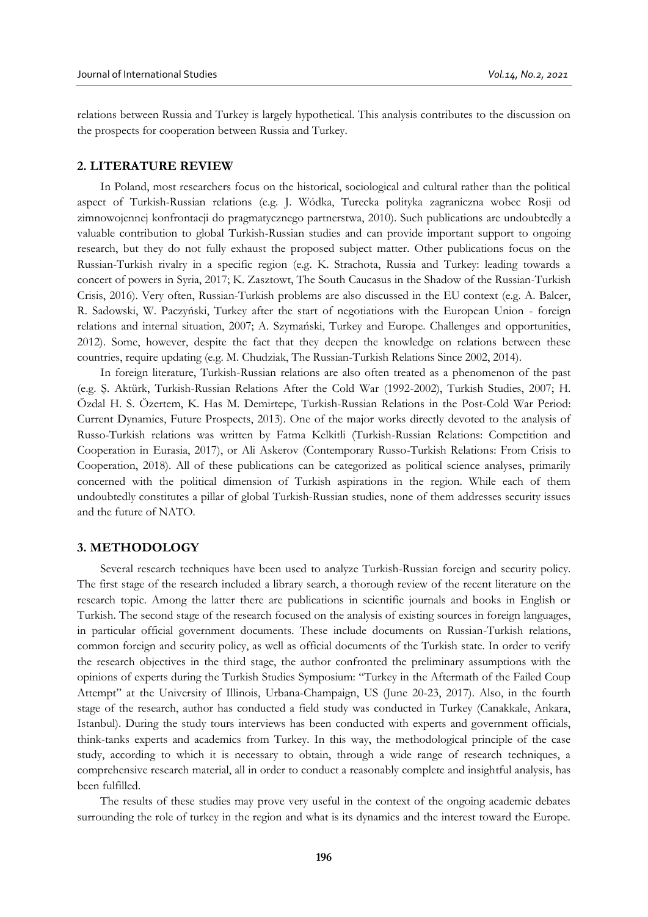relations between Russia and Turkey is largely hypothetical. This analysis contributes to the discussion on the prospects for cooperation between Russia and Turkey.

# **2. LITERATURE REVIEW**

In Poland, most researchers focus on the historical, sociological and cultural rather than the political aspect of Turkish-Russian relations (e.g. J. Wódka, Turecka polityka zagraniczna wobec Rosji od zimnowojennej konfrontacji do pragmatycznego partnerstwa, 2010). Such publications are undoubtedly a valuable contribution to global Turkish-Russian studies and can provide important support to ongoing research, but they do not fully exhaust the proposed subject matter. Other publications focus on the Russian-Turkish rivalry in a specific region (e.g. K. Strachota, Russia and Turkey: leading towards a concert of powers in Syria, 2017; K. Zasztowt, The South Caucasus in the Shadow of the Russian-Turkish Crisis, 2016). Very often, Russian-Turkish problems are also discussed in the EU context (e.g. A. Balcer, R. Sadowski, W. Paczyński, Turkey after the start of negotiations with the European Union - foreign relations and internal situation, 2007; A. Szymański, Turkey and Europe. Challenges and opportunities, 2012). Some, however, despite the fact that they deepen the knowledge on relations between these countries, require updating (e.g. M. Chudziak, The Russian-Turkish Relations Since 2002, 2014).

In foreign literature, Turkish-Russian relations are also often treated as a phenomenon of the past (e.g. Ş. Aktürk, Turkish-Russian Relations After the Cold War (1992-2002), Turkish Studies, 2007; H. Özdal H. S. Özertem, K. Has M. Demirtepe, Turkish-Russian Relations in the Post-Cold War Period: Current Dynamics, Future Prospects, 2013). One of the major works directly devoted to the analysis of Russo-Turkish relations was written by Fatma Kelkitli (Turkish-Russian Relations: Competition and Cooperation in Eurasia, 2017), or Ali Askerov (Contemporary Russo-Turkish Relations: From Crisis to Cooperation, 2018). All of these publications can be categorized as political science analyses, primarily concerned with the political dimension of Turkish aspirations in the region. While each of them undoubtedly constitutes a pillar of global Turkish-Russian studies, none of them addresses security issues and the future of NATO.

#### **3. METHODOLOGY**

Several research techniques have been used to analyze Turkish-Russian foreign and security policy. The first stage of the research included a library search, a thorough review of the recent literature on the research topic. Among the latter there are publications in scientific journals and books in English or Turkish. The second stage of the research focused on the analysis of existing sources in foreign languages, in particular official government documents. These include documents on Russian-Turkish relations, common foreign and security policy, as well as official documents of the Turkish state. In order to verify the research objectives in the third stage, the author confronted the preliminary assumptions with the opinions of experts during the Turkish Studies Symposium: "Turkey in the Aftermath of the Failed Coup Attempt" at the University of Illinois, Urbana-Champaign, US (June 20-23, 2017). Also, in the fourth stage of the research, author has conducted a field study was conducted in Turkey (Canakkale, Ankara, Istanbul). During the study tours interviews has been conducted with experts and government officials, think-tanks experts and academics from Turkey. In this way, the methodological principle of the case study, according to which it is necessary to obtain, through a wide range of research techniques, a comprehensive research material, all in order to conduct a reasonably complete and insightful analysis, has been fulfilled.

The results of these studies may prove very useful in the context of the ongoing academic debates surrounding the role of turkey in the region and what is its dynamics and the interest toward the Europe.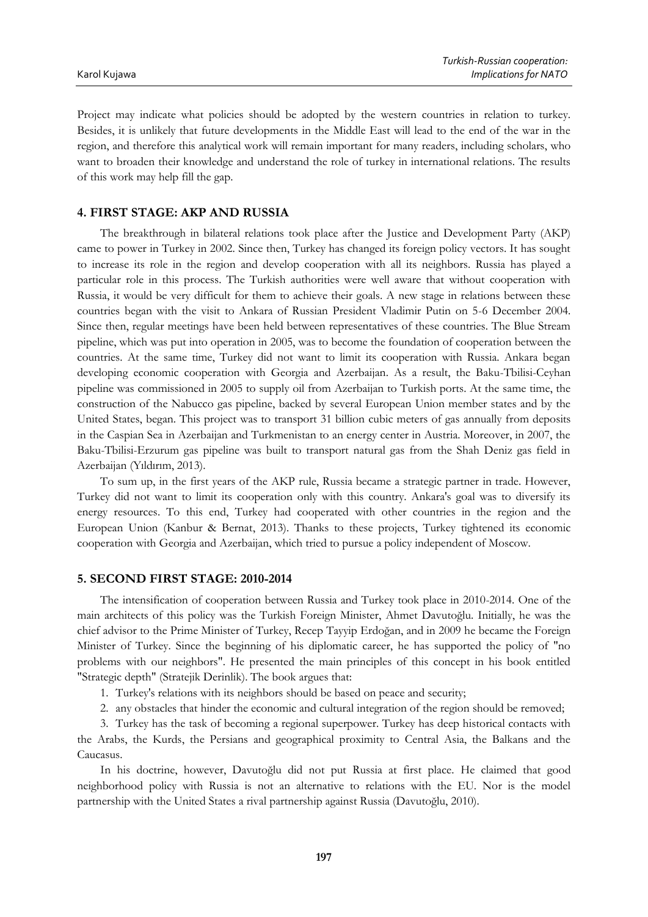Project may indicate what policies should be adopted by the western countries in relation to turkey. Besides, it is unlikely that future developments in the Middle East will lead to the end of the war in the region, and therefore this analytical work will remain important for many readers, including scholars, who want to broaden their knowledge and understand the role of turkey in international relations. The results of this work may help fill the gap.

# **4. FIRST STAGE: AKP AND RUSSIA**

The breakthrough in bilateral relations took place after the Justice and Development Party (AKP) came to power in Turkey in 2002. Since then, Turkey has changed its foreign policy vectors. It has sought to increase its role in the region and develop cooperation with all its neighbors. Russia has played a particular role in this process. The Turkish authorities were well aware that without cooperation with Russia, it would be very difficult for them to achieve their goals. A new stage in relations between these countries began with the visit to Ankara of Russian President Vladimir Putin on 5-6 December 2004. Since then, regular meetings have been held between representatives of these countries. The Blue Stream pipeline, which was put into operation in 2005, was to become the foundation of cooperation between the countries. At the same time, Turkey did not want to limit its cooperation with Russia. Ankara began developing economic cooperation with Georgia and Azerbaijan. As a result, the Baku-Tbilisi-Ceyhan pipeline was commissioned in 2005 to supply oil from Azerbaijan to Turkish ports. At the same time, the construction of the Nabucco gas pipeline, backed by several European Union member states and by the United States, began. This project was to transport 31 billion cubic meters of gas annually from deposits in the Caspian Sea in Azerbaijan and Turkmenistan to an energy center in Austria. Moreover, in 2007, the Baku-Tbilisi-Erzurum gas pipeline was built to transport natural gas from the Shah Deniz gas field in Azerbaijan (Yıldırım, 2013).

To sum up, in the first years of the AKP rule, Russia became a strategic partner in trade. However, Turkey did not want to limit its cooperation only with this country. Ankara's goal was to diversify its energy resources. To this end, Turkey had cooperated with other countries in the region and the European Union (Kanbur & Bernat, 2013). Thanks to these projects, Turkey tightened its economic cooperation with Georgia and Azerbaijan, which tried to pursue a policy independent of Moscow.

# **5. SECOND FIRST STAGE: 2010-2014**

The intensification of cooperation between Russia and Turkey took place in 2010-2014. One of the main architects of this policy was the Turkish Foreign Minister, Ahmet Davutoğlu. Initially, he was the chief advisor to the Prime Minister of Turkey, Recep Tayyip Erdoğan, and in 2009 he became the Foreign Minister of Turkey. Since the beginning of his diplomatic career, he has supported the policy of "no problems with our neighbors". He presented the main principles of this concept in his book entitled "Strategic depth" (Stratejik Derinlik). The book argues that:

1. Turkey's relations with its neighbors should be based on peace and security;

2. any obstacles that hinder the economic and cultural integration of the region should be removed;

3. Turkey has the task of becoming a regional superpower. Turkey has deep historical contacts with the Arabs, the Kurds, the Persians and geographical proximity to Central Asia, the Balkans and the Caucasus.

In his doctrine, however, Davutoğlu did not put Russia at first place. He claimed that good neighborhood policy with Russia is not an alternative to relations with the EU. Nor is the model partnership with the United States a rival partnership against Russia (Davutoğlu, 2010).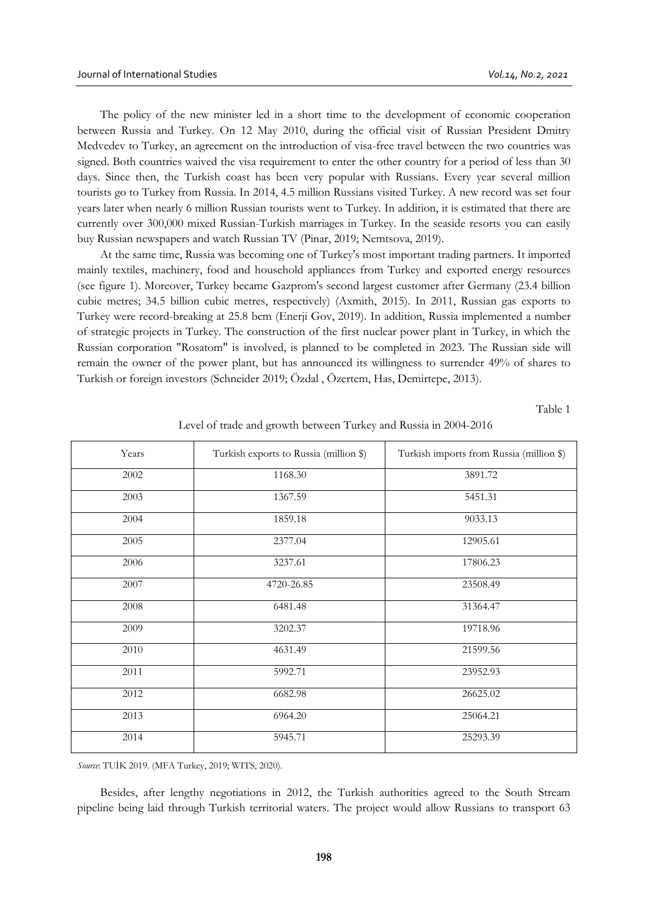The policy of the new minister led in a short time to the development of economic cooperation between Russia and Turkey. On 12 May 2010, during the official visit of Russian President Dmitry Medvedev to Turkey, an agreement on the introduction of visa-free travel between the two countries was signed. Both countries waived the visa requirement to enter the other country for a period of less than 30 days. Since then, the Turkish coast has been very popular with Russians. Every year several million tourists go to Turkey from Russia. In 2014, 4.5 million Russians visited Turkey. A new record was set four years later when nearly 6 million Russian tourists went to Turkey. In addition, it is estimated that there are currently over 300,000 mixed Russian-Turkish marriages in Turkey. In the seaside resorts you can easily buy Russian newspapers and watch Russian TV (Pinar, 2019; Nemtsova, 2019).

At the same time, Russia was becoming one of Turkey's most important trading partners. It imported mainly textiles, machinery, food and household appliances from Turkey and exported energy resources (see figure 1). Moreover, Turkey became Gazprom's second largest customer after Germany (23.4 billion cubic metres; 34.5 billion cubic metres, respectively) (Axmith, 2015). In 2011, Russian gas exports to Turkey were record-breaking at 25.8 bcm (Enerji Gov, 2019). In addition, Russia implemented a number of strategic projects in Turkey. The construction of the first nuclear power plant in Turkey, in which the Russian corporation "Rosatom" is involved, is planned to be completed in 2023. The Russian side will remain the owner of the power plant, but has announced its willingness to surrender 49% of shares to Turkish or foreign investors (Schneider 2019; Özdal , Özertem, Has, Demirtepe, 2013).

Table 1

| Years | Turkish exports to Russia (million \$) | Turkish imports from Russia (million \$) |
|-------|----------------------------------------|------------------------------------------|
| 2002  | 1168.30                                | 3891.72                                  |
| 2003  | 1367.59                                | 5451.31                                  |
| 2004  | 1859.18                                | 9033.13                                  |
| 2005  | 2377.04                                | 12905.61                                 |
| 2006  | 3237.61                                | 17806.23                                 |
| 2007  | 4720-26.85                             | 23508.49                                 |
| 2008  | 6481.48                                | 31364.47                                 |
| 2009  | 3202.37                                | 19718.96                                 |
| 2010  | 4631.49                                | 21599.56                                 |
| 2011  | 5992.71                                | 23952.93                                 |
| 2012  | 6682.98                                | 26625.02                                 |
| 2013  | 6964.20                                | 25064.21                                 |
| 2014  | 5945.71                                | 25293.39                                 |

Level of trade and growth between Turkey and Russia in 2004-2016

*Source*: TUİK 2019. (MFA Turkey, 2019; WITS, 2020).

Besides, after lengthy negotiations in 2012, the Turkish authorities agreed to the South Stream pipeline being laid through Turkish territorial waters. The project would allow Russians to transport 63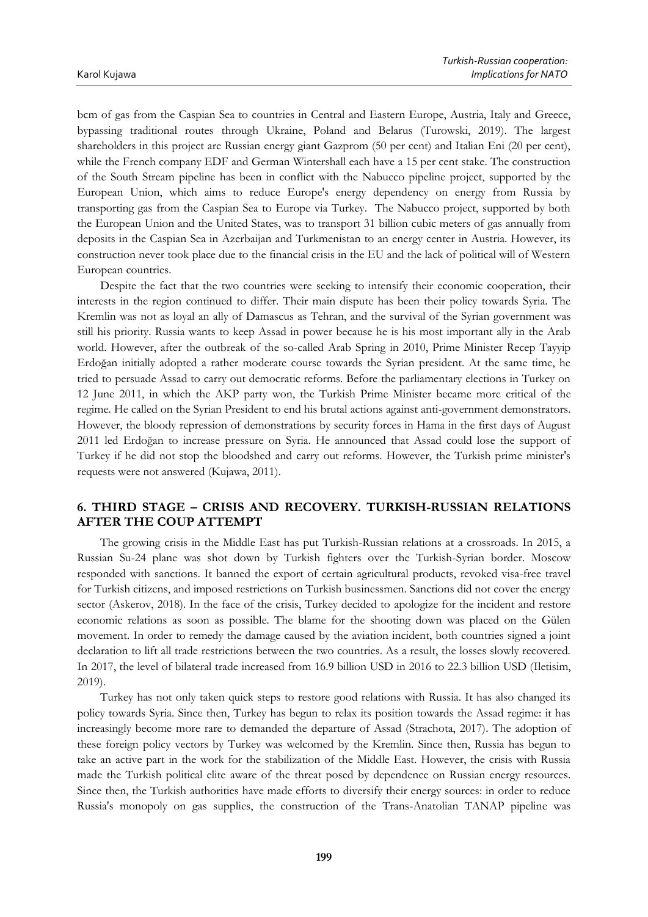bcm of gas from the Caspian Sea to countries in Central and Eastern Europe, Austria, Italy and Greece, bypassing traditional routes through Ukraine, Poland and Belarus (Turowski, 2019). The largest shareholders in this project are Russian energy giant Gazprom (50 per cent) and Italian Eni (20 per cent), while the French company EDF and German Wintershall each have a 15 per cent stake. The construction of the South Stream pipeline has been in conflict with the Nabucco pipeline project, supported by the European Union, which aims to reduce Europe's energy dependency on energy from Russia by transporting gas from the Caspian Sea to Europe via Turkey. The Nabucco project, supported by both the European Union and the United States, was to transport 31 billion cubic meters of gas annually from deposits in the Caspian Sea in Azerbaijan and Turkmenistan to an energy center in Austria. However, its construction never took place due to the financial crisis in the EU and the lack of political will of Western European countries.

Despite the fact that the two countries were seeking to intensify their economic cooperation, their interests in the region continued to differ. Their main dispute has been their policy towards Syria. The Kremlin was not as loyal an ally of Damascus as Tehran, and the survival of the Syrian government was still his priority. Russia wants to keep Assad in power because he is his most important ally in the Arab world. However, after the outbreak of the so-called Arab Spring in 2010, Prime Minister Recep Tayyip Erdoğan initially adopted a rather moderate course towards the Syrian president. At the same time, he tried to persuade Assad to carry out democratic reforms. Before the parliamentary elections in Turkey on 12 June 2011, in which the AKP party won, the Turkish Prime Minister became more critical of the regime. He called on the Syrian President to end his brutal actions against anti-government demonstrators. However, the bloody repression of demonstrations by security forces in Hama in the first days of August 2011 led Erdoğan to increase pressure on Syria. He announced that Assad could lose the support of Turkey if he did not stop the bloodshed and carry out reforms. However, the Turkish prime minister's requests were not answered (Kujawa, 2011).

# **6. THIRD STAGE – CRISIS AND RECOVERY. TURKISH-RUSSIAN RELATIONS AFTER THE COUP ATTEMPT**

The growing crisis in the Middle East has put Turkish-Russian relations at a crossroads. In 2015, a Russian Su-24 plane was shot down by Turkish fighters over the Turkish-Syrian border. Moscow responded with sanctions. It banned the export of certain agricultural products, revoked visa-free travel for Turkish citizens, and imposed restrictions on Turkish businessmen. Sanctions did not cover the energy sector (Askerov, 2018). In the face of the crisis, Turkey decided to apologize for the incident and restore economic relations as soon as possible. The blame for the shooting down was placed on the Gülen movement. In order to remedy the damage caused by the aviation incident, both countries signed a joint declaration to lift all trade restrictions between the two countries. As a result, the losses slowly recovered. In 2017, the level of bilateral trade increased from 16.9 billion USD in 2016 to 22.3 billion USD (Iletisim, 2019).

Turkey has not only taken quick steps to restore good relations with Russia. It has also changed its policy towards Syria. Since then, Turkey has begun to relax its position towards the Assad regime: it has increasingly become more rare to demanded the departure of Assad (Strachota, 2017). The adoption of these foreign policy vectors by Turkey was welcomed by the Kremlin. Since then, Russia has begun to take an active part in the work for the stabilization of the Middle East. However, the crisis with Russia made the Turkish political elite aware of the threat posed by dependence on Russian energy resources. Since then, the Turkish authorities have made efforts to diversify their energy sources: in order to reduce Russia's monopoly on gas supplies, the construction of the Trans-Anatolian TANAP pipeline was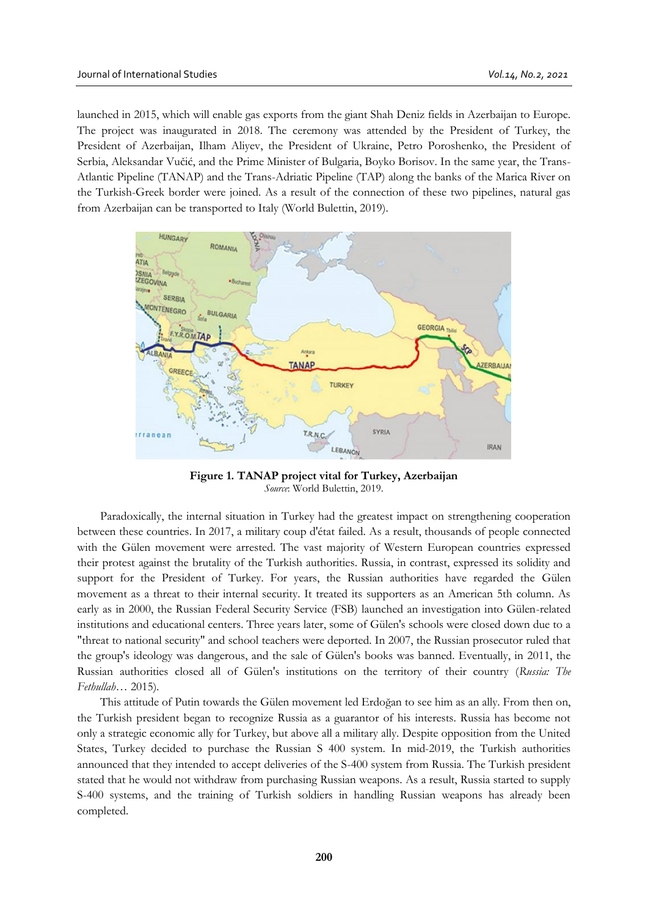launched in 2015, which will enable gas exports from the giant Shah Deniz fields in Azerbaijan to Europe. The project was inaugurated in 2018. The ceremony was attended by the President of Turkey, the President of Azerbaijan, Ilham Aliyev, the President of Ukraine, Petro Poroshenko, the President of Serbia, Aleksandar Vučić, and the Prime Minister of Bulgaria, Boyko Borisov. In the same year, the Trans-Atlantic Pipeline (TANAP) and the Trans-Adriatic Pipeline (TAP) along the banks of the Marica River on the Turkish-Greek border were joined. As a result of the connection of these two pipelines, natural gas from Azerbaijan can be transported to Italy (World Bulettin, 2019).



**Figure 1. TANAP project vital for Turkey, Azerbaijan** *Source*: World Bulettin, 2019.

Paradoxically, the internal situation in Turkey had the greatest impact on strengthening cooperation between these countries. In 2017, a military coup d'état failed. As a result, thousands of people connected with the Gülen movement were arrested. The vast majority of Western European countries expressed their protest against the brutality of the Turkish authorities. Russia, in contrast, expressed its solidity and support for the President of Turkey. For years, the Russian authorities have regarded the Gülen movement as a threat to their internal security. It treated its supporters as an American 5th column. As early as in 2000, the Russian Federal Security Service (FSB) launched an investigation into Gülen-related institutions and educational centers. Three years later, some of Gülen's schools were closed down due to a "threat to national security" and school teachers were deported. In 2007, the Russian prosecutor ruled that the group's ideology was dangerous, and the sale of Gülen's books was banned. Eventually, in 2011, the Russian authorities closed all of Gülen's institutions on the territory of their country (*Russia: The Fethullah…* 2015)*.*

This attitude of Putin towards the Gülen movement led Erdoğan to see him as an ally. From then on, the Turkish president began to recognize Russia as a guarantor of his interests. Russia has become not only a strategic economic ally for Turkey, but above all a military ally. Despite opposition from the United States, Turkey decided to purchase the Russian S 400 system. In mid-2019, the Turkish authorities announced that they intended to accept deliveries of the S-400 system from Russia. The Turkish president stated that he would not withdraw from purchasing Russian weapons. As a result, Russia started to supply S-400 systems, and the training of Turkish soldiers in handling Russian weapons has already been completed.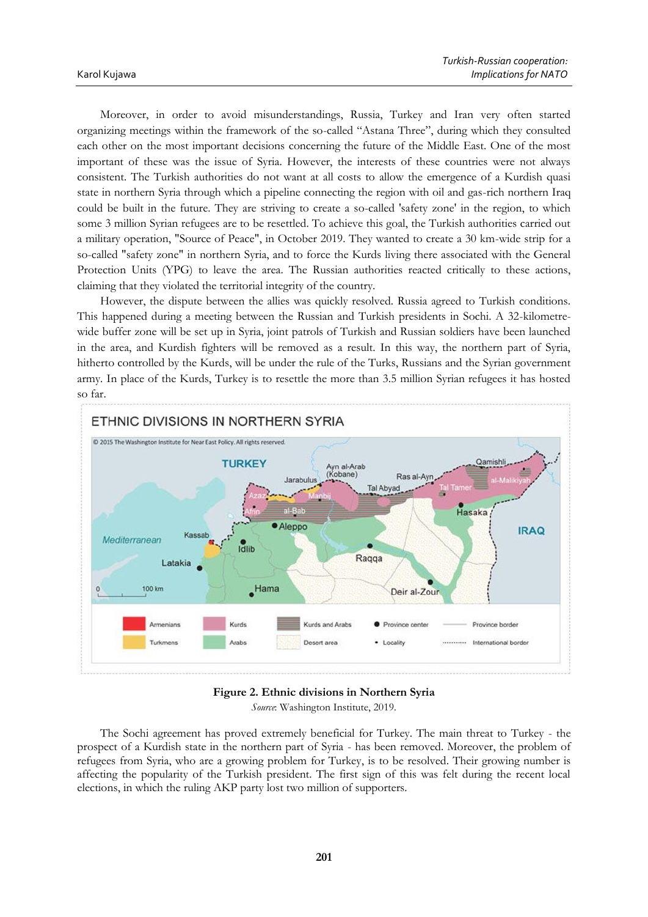Moreover, in order to avoid misunderstandings, Russia, Turkey and Iran very often started organizing meetings within the framework of the so-called "Astana Three", during which they consulted each other on the most important decisions concerning the future of the Middle East. One of the most important of these was the issue of Syria. However, the interests of these countries were not always consistent. The Turkish authorities do not want at all costs to allow the emergence of a Kurdish quasi state in northern Syria through which a pipeline connecting the region with oil and gas-rich northern Iraq could be built in the future. They are striving to create a so-called 'safety zone' in the region, to which some 3 million Syrian refugees are to be resettled. To achieve this goal, the Turkish authorities carried out a military operation, "Source of Peace", in October 2019. They wanted to create a 30 km-wide strip for a so-called "safety zone" in northern Syria, and to force the Kurds living there associated with the General Protection Units (YPG) to leave the area. The Russian authorities reacted critically to these actions, claiming that they violated the territorial integrity of the country.

However, the dispute between the allies was quickly resolved. Russia agreed to Turkish conditions. This happened during a meeting between the Russian and Turkish presidents in Sochi. A 32-kilometrewide buffer zone will be set up in Syria, joint patrols of Turkish and Russian soldiers have been launched in the area, and Kurdish fighters will be removed as a result. In this way, the northern part of Syria, hitherto controlled by the Kurds, will be under the rule of the Turks, Russians and the Syrian government army. In place of the Kurds, Turkey is to resettle the more than 3.5 million Syrian refugees it has hosted so far.



### **Figure 2. Ethnic divisions in Northern Syria**

*Source*: Washington Institute, 2019.

The Sochi agreement has proved extremely beneficial for Turkey. The main threat to Turkey - the prospect of a Kurdish state in the northern part of Syria - has been removed. Moreover, the problem of refugees from Syria, who are a growing problem for Turkey, is to be resolved. Their growing number is affecting the popularity of the Turkish president. The first sign of this was felt during the recent local elections, in which the ruling AKP party lost two million of supporters.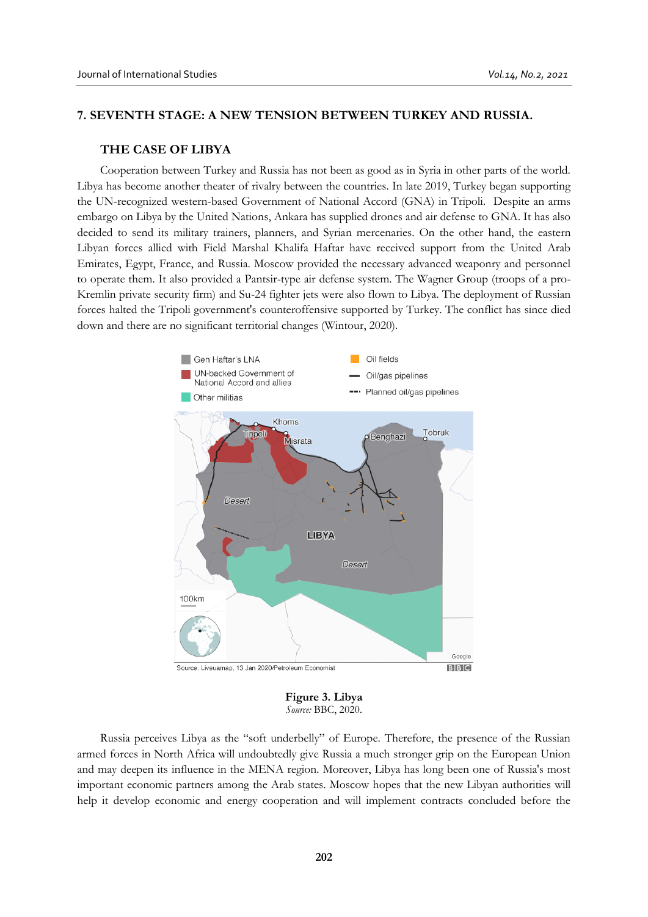# **7. SEVENTH STAGE: A NEW TENSION BETWEEN TURKEY AND RUSSIA.**

# **THE CASE OF LIBYA**

Cooperation between Turkey and Russia has not been as good as in Syria in other parts of the world. Libya has become another theater of rivalry between the countries. In late 2019, Turkey began supporting the UN-recognized western-based Government of National Accord (GNA) in Tripoli. Despite an arms embargo on Libya by the United Nations, Ankara has supplied drones and air defense to GNA. It has also decided to send its military trainers, planners, and Syrian mercenaries. On the other hand, the eastern Libyan forces allied with Field Marshal Khalifa Haftar have received support from the United Arab Emirates, Egypt, France, and Russia. Moscow provided the necessary advanced weaponry and personnel to operate them. It also provided a Pantsir-type air defense system. The Wagner Group (troops of a pro-Kremlin private security firm) and Su-24 fighter jets were also flown to Libya. The deployment of Russian forces halted the Tripoli government's counteroffensive supported by Turkey. The conflict has since died down and there are no significant territorial changes (Wintour, 2020).



**Figure 3. Libya** *Source:* BBC, 2020.

Russia perceives Libya as the "soft underbelly" of Europe. Therefore, the presence of the Russian armed forces in North Africa will undoubtedly give Russia a much stronger grip on the European Union and may deepen its influence in the MENA region. Moreover, Libya has long been one of Russia's most important economic partners among the Arab states. Moscow hopes that the new Libyan authorities will help it develop economic and energy cooperation and will implement contracts concluded before the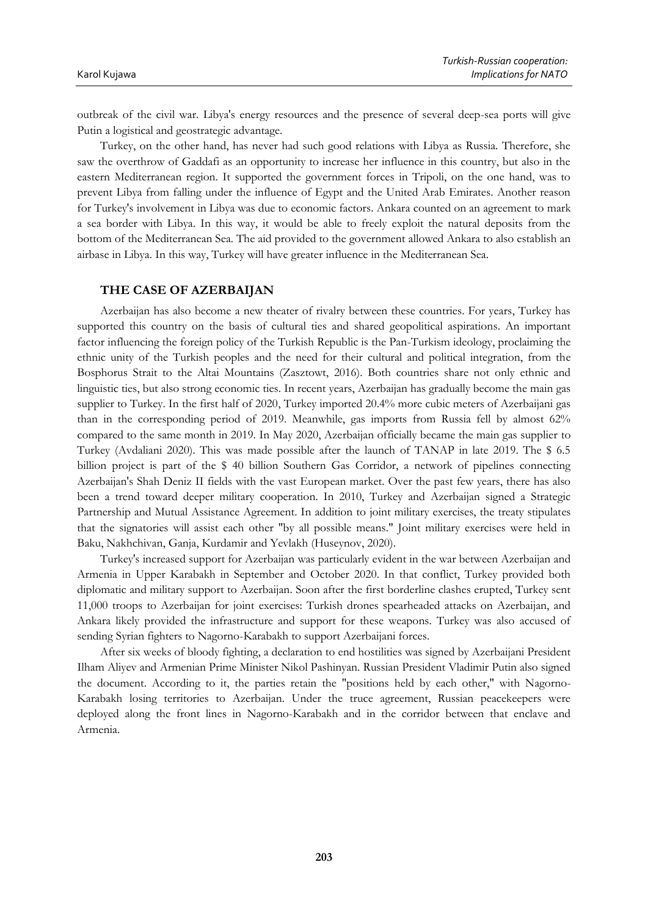outbreak of the civil war. Libya's energy resources and the presence of several deep-sea ports will give Putin a logistical and geostrategic advantage.

Turkey, on the other hand, has never had such good relations with Libya as Russia. Therefore, she saw the overthrow of Gaddafi as an opportunity to increase her influence in this country, but also in the eastern Mediterranean region. It supported the government forces in Tripoli, on the one hand, was to prevent Libya from falling under the influence of Egypt and the United Arab Emirates. Another reason for Turkey's involvement in Libya was due to economic factors. Ankara counted on an agreement to mark a sea border with Libya. In this way, it would be able to freely exploit the natural deposits from the bottom of the Mediterranean Sea. The aid provided to the government allowed Ankara to also establish an airbase in Libya. In this way, Turkey will have greater influence in the Mediterranean Sea.

#### **THE CASE OF AZERBAIJAN**

Azerbaijan has also become a new theater of rivalry between these countries. For years, Turkey has supported this country on the basis of cultural ties and shared geopolitical aspirations. An important factor influencing the foreign policy of the Turkish Republic is the Pan-Turkism ideology, proclaiming the ethnic unity of the Turkish peoples and the need for their cultural and political integration, from the Bosphorus Strait to the Altai Mountains (Zasztowt, 2016). Both countries share not only ethnic and linguistic ties, but also strong economic ties. In recent years, Azerbaijan has gradually become the main gas supplier to Turkey. In the first half of 2020, Turkey imported 20.4% more cubic meters of Azerbaijani gas than in the corresponding period of 2019. Meanwhile, gas imports from Russia fell by almost 62% compared to the same month in 2019. In May 2020, Azerbaijan officially became the main gas supplier to Turkey (Avdaliani 2020). This was made possible after the launch of TANAP in late 2019. The \$ 6.5 billion project is part of the \$ 40 billion Southern Gas Corridor, a network of pipelines connecting Azerbaijan's Shah Deniz II fields with the vast European market. Over the past few years, there has also been a trend toward deeper military cooperation. In 2010, Turkey and Azerbaijan signed a Strategic Partnership and Mutual Assistance Agreement. In addition to joint military exercises, the treaty stipulates that the signatories will assist each other "by all possible means." Joint military exercises were held in Baku, Nakhchivan, Ganja, Kurdamir and Yevlakh (Huseynov, 2020).

Turkey's increased support for Azerbaijan was particularly evident in the war between Azerbaijan and Armenia in Upper Karabakh in September and October 2020. In that conflict, Turkey provided both diplomatic and military support to Azerbaijan. Soon after the first borderline clashes erupted, Turkey sent 11,000 troops to Azerbaijan for joint exercises: Turkish drones spearheaded attacks on Azerbaijan, and Ankara likely provided the infrastructure and support for these weapons. Turkey was also accused of sending Syrian fighters to Nagorno-Karabakh to support Azerbaijani forces.

After six weeks of bloody fighting, a declaration to end hostilities was signed by Azerbaijani President Ilham Aliyev and Armenian Prime Minister Nikol Pashinyan. Russian President Vladimir Putin also signed the document. According to it, the parties retain the "positions held by each other," with Nagorno-Karabakh losing territories to Azerbaijan. Under the truce agreement, Russian peacekeepers were deployed along the front lines in Nagorno-Karabakh and in the corridor between that enclave and Armenia.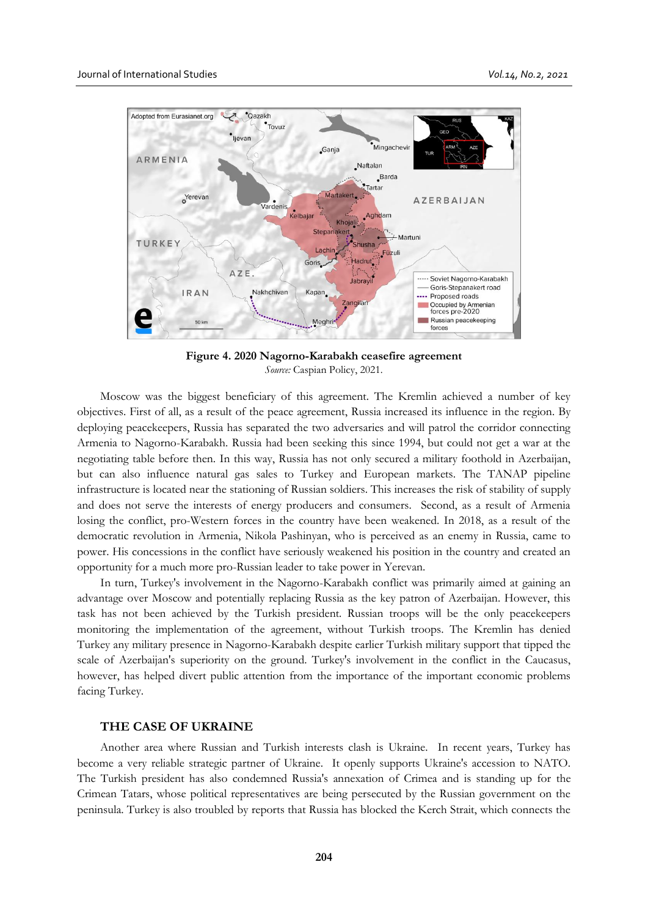

**Figure 4. 2020 Nagorno-Karabakh ceasefire agreement** *Source:* Caspian Policy, 2021.

Moscow was the biggest beneficiary of this agreement. The Kremlin achieved a number of key objectives. First of all, as a result of the peace agreement, Russia increased its influence in the region. By deploying peacekeepers, Russia has separated the two adversaries and will patrol the corridor connecting Armenia to Nagorno-Karabakh. Russia had been seeking this since 1994, but could not get a war at the negotiating table before then. In this way, Russia has not only secured a military foothold in Azerbaijan, but can also influence natural gas sales to Turkey and European markets. The TANAP pipeline infrastructure is located near the stationing of Russian soldiers. This increases the risk of stability of supply and does not serve the interests of energy producers and consumers. Second, as a result of Armenia losing the conflict, pro-Western forces in the country have been weakened. In 2018, as a result of the democratic revolution in Armenia, Nikola Pashinyan, who is perceived as an enemy in Russia, came to power. His concessions in the conflict have seriously weakened his position in the country and created an opportunity for a much more pro-Russian leader to take power in Yerevan.

In turn, Turkey's involvement in the Nagorno-Karabakh conflict was primarily aimed at gaining an advantage over Moscow and potentially replacing Russia as the key patron of Azerbaijan. However, this task has not been achieved by the Turkish president. Russian troops will be the only peacekeepers monitoring the implementation of the agreement, without Turkish troops. The Kremlin has denied Turkey any military presence in Nagorno-Karabakh despite earlier Turkish military support that tipped the scale of Azerbaijan's superiority on the ground. Turkey's involvement in the conflict in the Caucasus, however, has helped divert public attention from the importance of the important economic problems facing Turkey.

# **THE CASE OF UKRAINE**

Another area where Russian and Turkish interests clash is Ukraine. In recent years, Turkey has become a very reliable strategic partner of Ukraine. It openly supports Ukraine's accession to NATO. The Turkish president has also condemned Russia's annexation of Crimea and is standing up for the Crimean Tatars, whose political representatives are being persecuted by the Russian government on the peninsula. Turkey is also troubled by reports that Russia has blocked the Kerch Strait, which connects the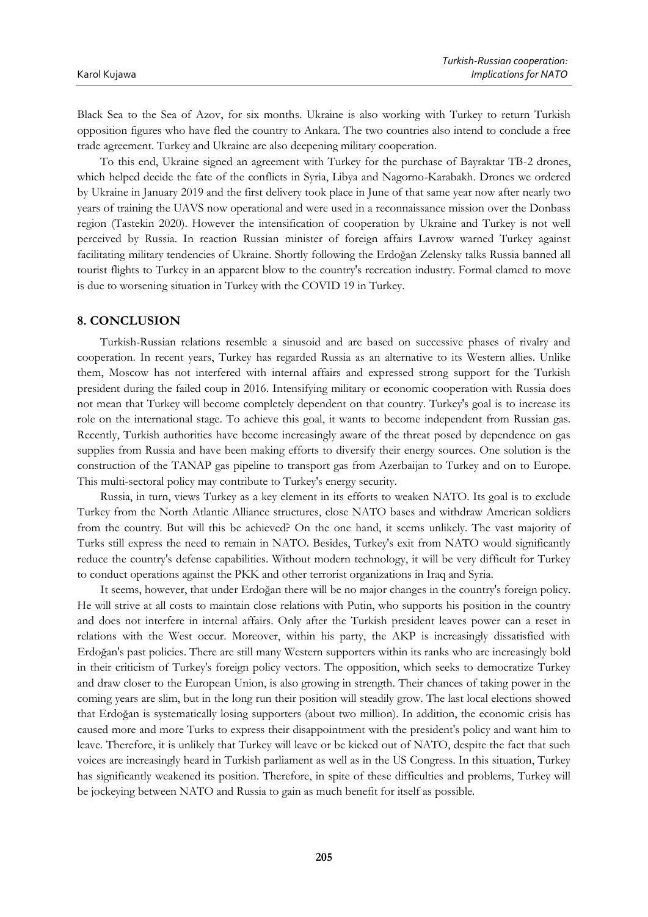Black Sea to the Sea of Azov, for six months. Ukraine is also working with Turkey to return Turkish opposition figures who have fled the country to Ankara. The two countries also intend to conclude a free trade agreement. Turkey and Ukraine are also deepening military cooperation.

To this end, Ukraine signed an agreement with Turkey for the purchase of Bayraktar TB-2 drones, which helped decide the fate of the conflicts in Syria, Libya and Nagorno-Karabakh. Drones we ordered by Ukraine in January 2019 and the first delivery took place in June of that same year now after nearly two years of training the UAVS now operational and were used in a reconnaissance mission over the Donbass region (Tastekin 2020). However the intensification of cooperation by Ukraine and Turkey is not well perceived by Russia. In reaction Russian minister of foreign affairs Lavrow warned Turkey against facilitating military tendencies of Ukraine. Shortly following the Erdoğan Zelensky talks Russia banned all tourist flights to Turkey in an apparent blow to the country's recreation industry. Formal clamed to move is due to worsening situation in Turkey with the COVID 19 in Turkey.

#### **8. CONCLUSION**

Turkish-Russian relations resemble a sinusoid and are based on successive phases of rivalry and cooperation. In recent years, Turkey has regarded Russia as an alternative to its Western allies. Unlike them, Moscow has not interfered with internal affairs and expressed strong support for the Turkish president during the failed coup in 2016. Intensifying military or economic cooperation with Russia does not mean that Turkey will become completely dependent on that country. Turkey's goal is to increase its role on the international stage. To achieve this goal, it wants to become independent from Russian gas. Recently, Turkish authorities have become increasingly aware of the threat posed by dependence on gas supplies from Russia and have been making efforts to diversify their energy sources. One solution is the construction of the TANAP gas pipeline to transport gas from Azerbaijan to Turkey and on to Europe. This multi-sectoral policy may contribute to Turkey's energy security.

Russia, in turn, views Turkey as a key element in its efforts to weaken NATO. Its goal is to exclude Turkey from the North Atlantic Alliance structures, close NATO bases and withdraw American soldiers from the country. But will this be achieved? On the one hand, it seems unlikely. The vast majority of Turks still express the need to remain in NATO. Besides, Turkey's exit from NATO would significantly reduce the country's defense capabilities. Without modern technology, it will be very difficult for Turkey to conduct operations against the PKK and other terrorist organizations in Iraq and Syria.

It seems, however, that under Erdoğan there will be no major changes in the country's foreign policy. He will strive at all costs to maintain close relations with Putin, who supports his position in the country and does not interfere in internal affairs. Only after the Turkish president leaves power can a reset in relations with the West occur. Moreover, within his party, the AKP is increasingly dissatisfied with Erdoğan's past policies. There are still many Western supporters within its ranks who are increasingly bold in their criticism of Turkey's foreign policy vectors. The opposition, which seeks to democratize Turkey and draw closer to the European Union, is also growing in strength. Their chances of taking power in the coming years are slim, but in the long run their position will steadily grow. The last local elections showed that Erdoğan is systematically losing supporters (about two million). In addition, the economic crisis has caused more and more Turks to express their disappointment with the president's policy and want him to leave. Therefore, it is unlikely that Turkey will leave or be kicked out of NATO, despite the fact that such voices are increasingly heard in Turkish parliament as well as in the US Congress. In this situation, Turkey has significantly weakened its position. Therefore, in spite of these difficulties and problems, Turkey will be jockeying between NATO and Russia to gain as much benefit for itself as possible.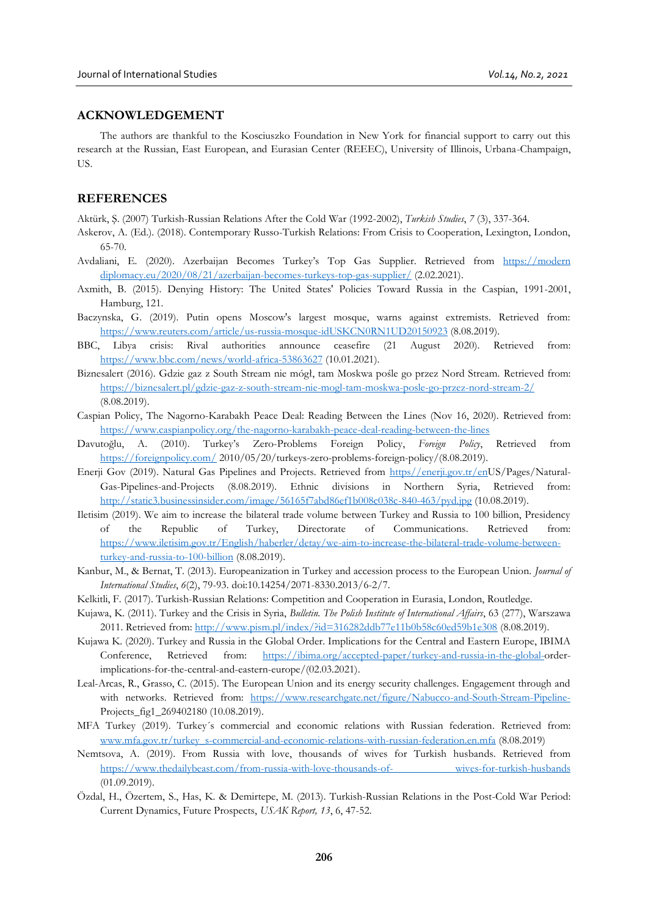# **ACKNOWLEDGEMENT**

The authors are thankful to the Kosciuszko Foundation in New York for financial support to carry out this research at the Russian, East European, and Eurasian Center (REEEC), University of Illinois, Urbana-Champaign, **IIS.** 

## **REFERENCES**

Aktürk, Ş. (2007) Turkish-Russian Relations After the Cold War (1992-2002), *Turkish Studies*, *7* (3), 337-364.

- Askerov, A. (Ed.). (2018). Contemporary Russo-Turkish Relations: From Crisis to Cooperation, Lexington, London, 65-70.
- Avdaliani, E. (2020). Azerbaijan Becomes Turkey's Top Gas Supplier. Retrieved from [https://modern](https://moderndiplomacy.eu/2020/08/21/azerbaijan-becomes-turkeys-top-gas-supplier/)  [diplomacy.eu/2020/08/21/azerbaijan-becomes-turkeys-top-gas-supplier/](https://moderndiplomacy.eu/2020/08/21/azerbaijan-becomes-turkeys-top-gas-supplier/) (2.02.2021).
- Axmith, B. (2015). Denying History: The United States' Policies Toward Russia in the Caspian, 1991-2001, Hamburg, 121.
- Baczynska, G. (2019). Putin opens Moscow's largest mosque, warns against extremists. Retrieved from: <https://www.reuters.com/article/us-russia-mosque-idUSKCN0RN1UD20150923> (8.08.2019).
- BBC, Libya crisis: Rival authorities announce ceasefire (21 August 2020). Retrieved from: <https://www.bbc.com/news/world-africa-53863627> (10.01.2021).
- Biznesalert (2016). Gdzie gaz z South Stream nie mógł, tam Moskwa pośle go przez Nord Stream. Retrieved fro[m:](https://biznesalert.pl/gdzie-gaz-z-south-stream-nie-mogl-tam-moskwa-posle-go-przez-nord-stream-2/) <https://biznesalert.pl/gdzie-gaz-z-south-stream-nie-mogl-tam-moskwa-posle-go-przez-nord-stream-2/> (8.08.2019).
- Caspian Policy, The Nagorno-Karabakh Peace Deal: Reading Between the Lines (Nov 16, 2020). Retrieved from: <https://www.caspianpolicy.org/the-nagorno-karabakh-peace-deal-reading-between-the-lines>
- Davutoğlu, A. (2010). Turkey's Zero-Problems Foreign Policy, *Foreign Policy*, Retrieved from <https://foreignpolicy.com/> 2010/05/20/turkeys-zero-problems-foreign-policy/(8.08.2019).
- Enerji Gov (2019). Natural Gas Pipelines and Projects. Retrieved from [https//enerji.gov.tr/enU](https://enerji.gov.tr/en-)S/Pages/Natural-Gas-Pipelines-and-Projects (8.08.2019). Ethnic divisions in Northern Syria, Retrieved from: <http://static3.businessinsider.com/image/56165f7abd86ef1b008c038c-840-463/pyd.jpg> (10.08.2019).
- Iletisim (2019). We aim to increase the bilateral trade volume between Turkey and Russia to 100 billion, Presidency of the Republic of Turkey, Directorate of Communications. Retrieved from: [https://www.iletisim.gov.tr/English/haberler/detay/we-aim-to-increase-the-bilateral-trade-volume-between](https://www.iletisim.gov.tr/English/haberler/detay/we-aim-to-increase-the-bilateral-trade-volume-between-turkey-and-russia-to-100-billion)[turkey-and-russia-to-100-billion](https://www.iletisim.gov.tr/English/haberler/detay/we-aim-to-increase-the-bilateral-trade-volume-between-turkey-and-russia-to-100-billion) (8.08.2019).
- Kanbur, M., & Bernat, T. (2013). Europeanization in Turkey and accession process to the European Union. *Journal of International Studies*, *6*(2), 79-93. doi:10.14254/2071-8330.2013/6-2/7.
- Kelkitli, F. (2017). Turkish-Russian Relations: Competition and Cooperation in Eurasia, London, Routledge.
- Kujawa, K. (2011). Turkey and the Crisis in Syria, *Bulletin. The Polish Institute of International Affairs*, 63 (277), Warszawa 2011. Retrieved from:<http://www.pism.pl/index/?id=316282ddb77e11b0b58c60ed59b1e308> (8.08.2019).
- Kujawa K. (2020). Turkey and Russia in the Global Order. Implications for the Central and Eastern Europe, IBIMA Conference, Retrieved from: [https://ibima.org/accepted-paper/turkey-and-russia-in-the-global-o](https://ibima.org/accepted-paper/turkey-and-russia-in-the-global-)rderimplications-for-the-central-and-eastern-europe/(02.03.2021).
- Leal-Arcas, R., Grasso, C. (2015). The European Union and its energy security challenges. Engagement through and with networks. Retrieved from: <https://www.researchgate.net/figure/Nabucco-and-South-Stream-Pipeline->Projects fig1 269402180 (10.08.2019).
- MFA Turkey (2019). Turkey´s commercial and economic relations with Russian federation. Retrieved from: [www.mfa.gov.tr/turkey\\_s-commercial-and-economic-relations-with-russian-federation.en.mfa](http://www.mfa.gov.tr/turkey_s-commercial-and-economic-relations-with-russian-federation.en.mfa) (8.08.2019)
- Nemtsova, A. (2019). From Russia with love, thousands of wives for Turkish husbands. Retrieved from [https://www.thedailybeast.com/from-russia-with-love-thousands-of- wives-for-turkish-husbands](https://www.thedailybeast.com/from-russia-with-love-thousands-of-%20%20wives-for-turkish-husbands) (01.09.2019).
- Özdal, H., Özertem, S., Has, K. & Demirtepe, M. (2013). Turkish-Russian Relations in the Post-Cold War Period: Current Dynamics, Future Prospects, *USAK Report, 13*, 6, 47-52.